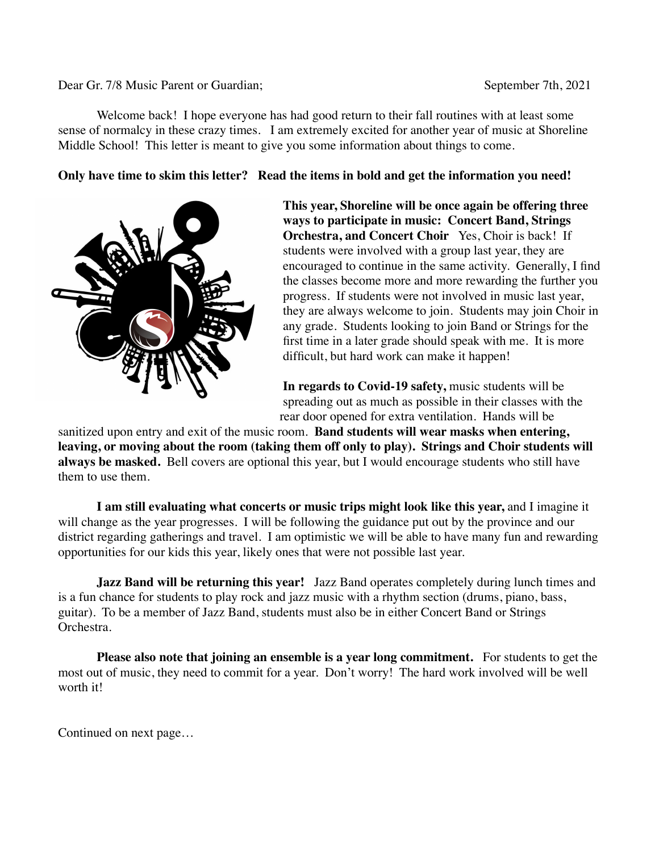#### Dear Gr. 7/8 Music Parent or Guardian; September 7th, 2021

Welcome back! I hope everyone has had good return to their fall routines with at least some sense of normalcy in these crazy times. I am extremely excited for another year of music at Shoreline Middle School! This letter is meant to give you some information about things to come.

**Only have time to skim this letter? Read the items in bold and get the information you need!**



**This year, Shoreline will be once again be offering three ways to participate in music: Concert Band, Strings Orchestra, and Concert Choir** Yes, Choir is back! If students were involved with a group last year, they are encouraged to continue in the same activity. Generally, I find the classes become more and more rewarding the further you progress. If students were not involved in music last year, they are always welcome to join. Students may join Choir in any grade. Students looking to join Band or Strings for the first time in a later grade should speak with me. It is more difficult, but hard work can make it happen!

**In regards to Covid-19 safety,** music students will be spreading out as much as possible in their classes with the rear door opened for extra ventilation. Hands will be

sanitized upon entry and exit of the music room. **Band students will wear masks when entering, leaving, or moving about the room (taking them off only to play). Strings and Choir students will always be masked.** Bell covers are optional this year, but I would encourage students who still have them to use them.

**I am still evaluating what concerts or music trips might look like this year,** and I imagine it will change as the year progresses. I will be following the guidance put out by the province and our district regarding gatherings and travel. I am optimistic we will be able to have many fun and rewarding opportunities for our kids this year, likely ones that were not possible last year.

**Jazz Band will be returning this year!** Jazz Band operates completely during lunch times and is a fun chance for students to play rock and jazz music with a rhythm section (drums, piano, bass, guitar). To be a member of Jazz Band, students must also be in either Concert Band or Strings Orchestra.

**Please also note that joining an ensemble is a year long commitment.** For students to get the most out of music, they need to commit for a year. Don't worry! The hard work involved will be well worth it!

Continued on next page…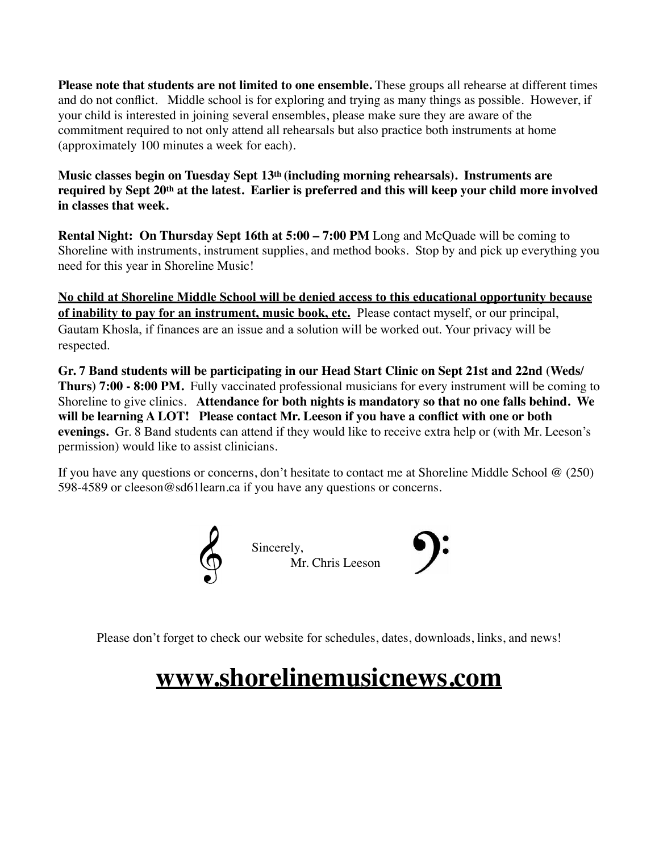**Please note that students are not limited to one ensemble.** These groups all rehearse at different times and do not conflict. Middle school is for exploring and trying as many things as possible. However, if your child is interested in joining several ensembles, please make sure they are aware of the commitment required to not only attend all rehearsals but also practice both instruments at home (approximately 100 minutes a week for each).

**Music classes begin on Tuesday Sept 13th (including morning rehearsals). Instruments are required by Sept 20th at the latest. Earlier is preferred and this will keep your child more involved in classes that week.**

**Rental Night: On Thursday Sept 16th at 5:00 – 7:00 PM** Long and McQuade will be coming to Shoreline with instruments, instrument supplies, and method books. Stop by and pick up everything you need for this year in Shoreline Music!

**No child at Shoreline Middle School will be denied access to this educational opportunity because of inability to pay for an instrument, music book, etc.** Please contact myself, or our principal, Gautam Khosla, if finances are an issue and a solution will be worked out. Your privacy will be respected.

**Gr. 7 Band students will be participating in our Head Start Clinic on Sept 21st and 22nd (Weds/ Thurs) 7:00 - 8:00 PM.** Fully vaccinated professional musicians for every instrument will be coming to Shoreline to give clinics. **Attendance for both nights is mandatory so that no one falls behind. We will be learning A LOT! Please contact Mr. Leeson if you have a conflict with one or both evenings.** Gr. 8 Band students can attend if they would like to receive extra help or (with Mr. Leeson's permission) would like to assist clinicians.

If you have any questions or concerns, don't hesitate to contact me at Shoreline Middle School @ (250) 598-4589 or cleeson@sd61learn.ca if you have any questions or concerns.



Please don't forget to check our website for schedules, dates, downloads, links, and news!

# **www.shorelinemusicnews.com**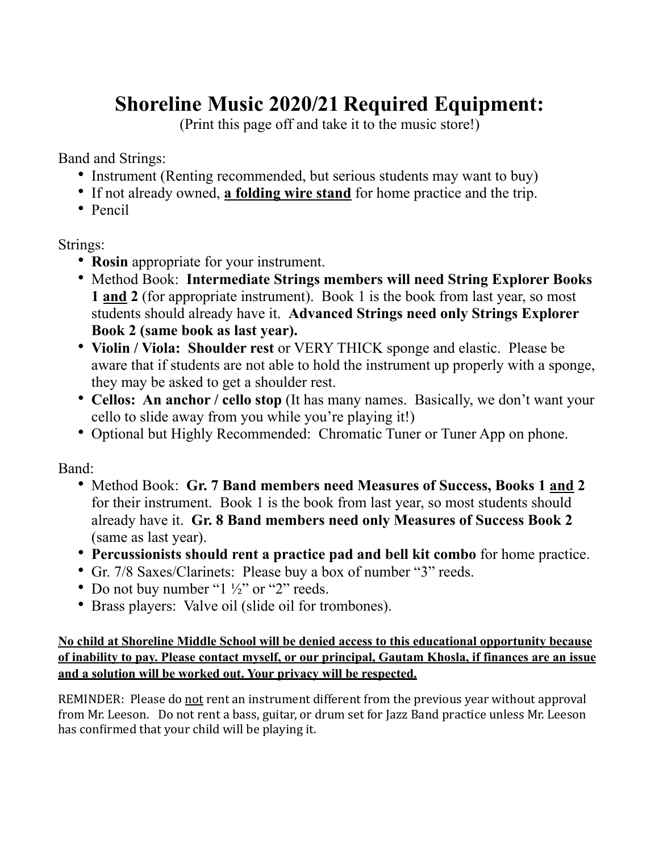# **Shoreline Music 2020/21 Required Equipment:**

(Print this page off and take it to the music store!)

Band and Strings:

- Instrument (Renting recommended, but serious students may want to buy)
- If not already owned, **a folding wire stand** for home practice and the trip.
- Pencil

## Strings:

- **Rosin** appropriate for your instrument.
- Method Book: **Intermediate Strings members will need String Explorer Books 1 and 2** (for appropriate instrument). Book 1 is the book from last year, so most students should already have it. **Advanced Strings need only Strings Explorer Book 2 (same book as last year).**
- **Violin / Viola: Shoulder rest** or VERY THICK sponge and elastic. Please be aware that if students are not able to hold the instrument up properly with a sponge, they may be asked to get a shoulder rest.
- **Cellos: An anchor / cello stop** (It has many names. Basically, we don't want your cello to slide away from you while you're playing it!)
- Optional but Highly Recommended: Chromatic Tuner or Tuner App on phone.

Band:

- Method Book: **Gr. 7 Band members need Measures of Success, Books 1 and 2** for their instrument. Book 1 is the book from last year, so most students should already have it. **Gr. 8 Band members need only Measures of Success Book 2** (same as last year).
- **Percussionists should rent a practice pad and bell kit combo** for home practice.
- Gr. 7/8 Saxes/Clarinets: Please buy a box of number "3" reeds.
- Do not buy number " $1\frac{1}{2}$ " or "2" reeds.
- Brass players: Valve oil (slide oil for trombones).

### **No child at Shoreline Middle School will be denied access to this educational opportunity because of inability to pay. Please contact myself, or our principal, Gautam Khosla, if finances are an issue and a solution will be worked out. Your privacy will be respected.**

REMINDER: Please do not rent an instrument different from the previous year without approval from Mr. Leeson. Do not rent a bass, guitar, or drum set for Jazz Band practice unless Mr. Leeson has confirmed that your child will be playing it.